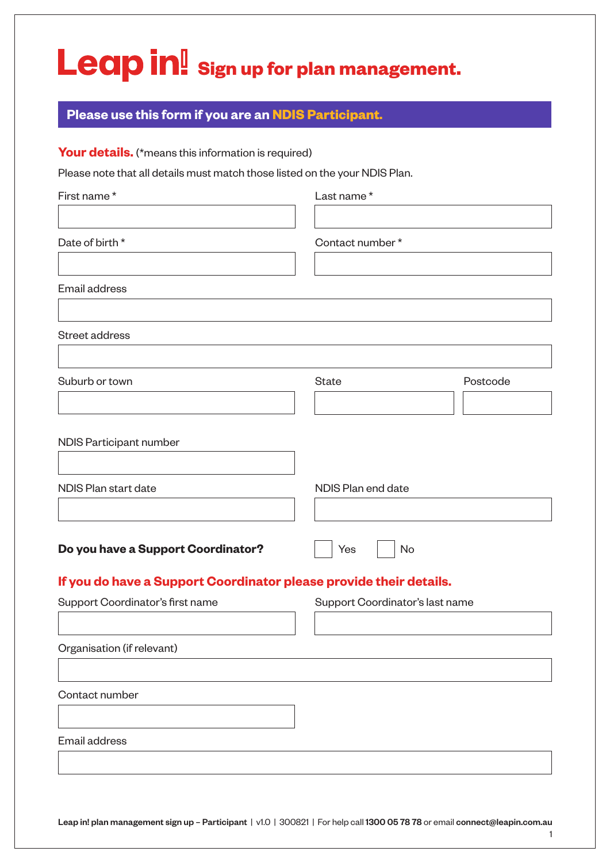## Leap in! sign up for plan management.

## **Please use this form if you are an NDIS Participant.**

Your details. (\*means this information is required)

Please note that all details must match those listed on the your NDIS Plan.

| First name*                                                        | Last name*                      |          |
|--------------------------------------------------------------------|---------------------------------|----------|
|                                                                    |                                 |          |
| Date of birth *                                                    | Contact number*                 |          |
| Email address                                                      |                                 |          |
|                                                                    |                                 |          |
| Street address                                                     |                                 |          |
| Suburb or town                                                     | <b>State</b>                    | Postcode |
| NDIS Participant number                                            |                                 |          |
| NDIS Plan start date                                               | NDIS Plan end date              |          |
| Do you have a Support Coordinator?                                 | Yes<br><b>No</b>                |          |
| If you do have a Support Coordinator please provide their details. |                                 |          |
| Support Coordinator's first name                                   | Support Coordinator's last name |          |
|                                                                    |                                 |          |
| Organisation (if relevant)                                         |                                 |          |
| Contact number                                                     |                                 |          |
| <b>Email address</b>                                               |                                 |          |
|                                                                    |                                 |          |

Leap in! plan management sign up - Participant | v1.0 | 300821 | For help call 1300 05 78 78 or email connect@leapin.com.au